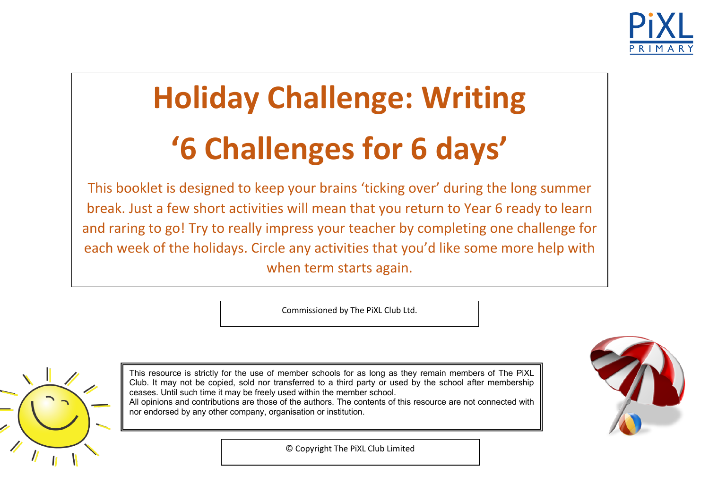

# **Holiday Challenge: Writing '6 Challenges for 6 days'**

This booklet is designed to keep your brains 'ticking over' during the long summer break. Just a few short activities will mean that you return to Year 6 ready to learn and raring to go! Try to really impress your teacher by completing one challenge for each week of the holidays. Circle any activities that you'd like some more help with when term starts again.

Commissioned by The PiXL Club Ltd.



This resource is strictly for the use of member schools for as long as they remain members of The PiXL Club. It may not be copied, sold nor transferred to a third party or used by the school after membership ceases. Until such time it may be freely used within the member school. All opinions and contributions are those of the authors. The contents of this resource are not connected with

nor endorsed by any other company, organisation or institution.



© Copyright The PiXL Club Limited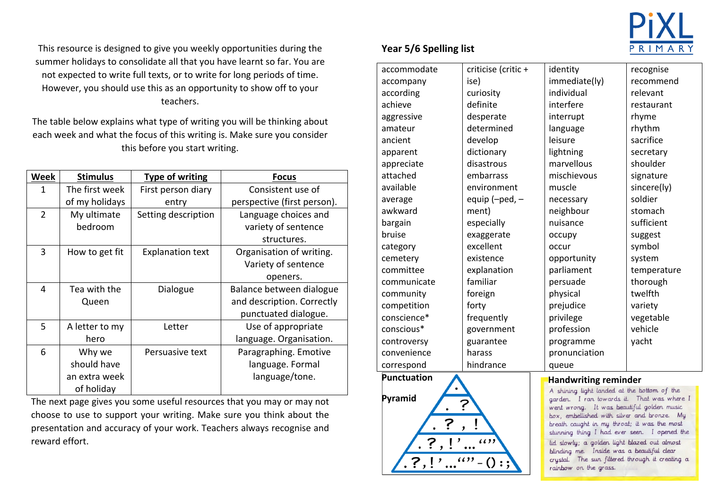

This resource is designed to give you weekly opportunities during the summer holidays to consolidate all that you have learnt so far. You are not expected to write full texts, or to write for long periods of time. However, you should use this as an opportunity to show off to your teachers.

The table below explains what type of writing you will be thinking about each week and what the focus of this writing is. Make sure you consider this before you start writing.

| <b>Week</b>    | <b>Stimulus</b> | <b>Type of writing</b>  | <b>Focus</b>                |
|----------------|-----------------|-------------------------|-----------------------------|
| 1              | The first week  | First person diary      | Consistent use of           |
|                | of my holidays  | entry                   | perspective (first person). |
| $\overline{2}$ | My ultimate     | Setting description     | Language choices and        |
|                | bedroom         |                         | variety of sentence         |
|                |                 |                         | structures.                 |
| 3              | How to get fit  | <b>Explanation text</b> | Organisation of writing.    |
|                |                 |                         | Variety of sentence         |
|                |                 |                         | openers.                    |
| 4              | Tea with the    | Dialogue                | Balance between dialogue    |
|                | Queen           |                         | and description. Correctly  |
|                |                 |                         | punctuated dialogue.        |
| 5              | A letter to my  | Letter                  | Use of appropriate          |
|                | hero            |                         | language. Organisation.     |
| 6              | Why we          | Persuasive text         | Paragraphing. Emotive       |
|                | should have     |                         | language. Formal            |
|                | an extra week   |                         | language/tone.              |
|                | of holiday      |                         |                             |

The next page gives you some useful resources that you may or may not choose to use to support your writing. Make sure you think about the presentation and accuracy of your work. Teachers always recognise and reward effort.

## **Year 5/6 Spelling list**

| 'nt so far. You are    |                                                   |                      |                                                                                                                                                                                          |             |  |  |
|------------------------|---------------------------------------------------|----------------------|------------------------------------------------------------------------------------------------------------------------------------------------------------------------------------------|-------------|--|--|
| periods of time.       | accommodate                                       | criticise (critic +  | identity                                                                                                                                                                                 | recognise   |  |  |
|                        | accompany                                         | ise)                 | immediate(ly)                                                                                                                                                                            | recommend   |  |  |
| how off to your        | according                                         | curiosity            | individual                                                                                                                                                                               | relevant    |  |  |
|                        | achieve                                           | definite             | interfere                                                                                                                                                                                | restaurant  |  |  |
| be thinking about      | aggressive                                        | desperate            | interrupt                                                                                                                                                                                | rhyme       |  |  |
|                        | amateur                                           | determined           | language                                                                                                                                                                                 | rhythm      |  |  |
| sure you consider      | ancient                                           | develop              | leisure                                                                                                                                                                                  | sacrifice   |  |  |
|                        | apparent                                          | dictionary           | lightning                                                                                                                                                                                | secretary   |  |  |
|                        | appreciate                                        | disastrous           | marvellous                                                                                                                                                                               | shoulder    |  |  |
| <b>Focus</b>           | attached                                          | embarrass            | mischievous                                                                                                                                                                              | signature   |  |  |
| consistent use of      | available                                         | environment          | muscle                                                                                                                                                                                   | sincere(ly) |  |  |
| ective (first person). | average                                           | equip ( $-ped$ , $-$ | necessary                                                                                                                                                                                | soldier     |  |  |
| guage choices and      | awkward                                           | ment)                | neighbour                                                                                                                                                                                | stomach     |  |  |
| riety of sentence      | bargain                                           | especially           | nuisance                                                                                                                                                                                 | sufficient  |  |  |
| structures.            | bruise                                            | exaggerate           | occupy                                                                                                                                                                                   | suggest     |  |  |
| anisation of writing.  | category                                          | excellent            | occur                                                                                                                                                                                    | symbol      |  |  |
| riety of sentence      | cemetery                                          | existence            | opportunity                                                                                                                                                                              | system      |  |  |
| openers.               | committee                                         | explanation          | parliament                                                                                                                                                                               | temperature |  |  |
|                        | communicate                                       | familiar             | persuade                                                                                                                                                                                 | thorough    |  |  |
| ce between dialogue    | community                                         | foreign              | physical                                                                                                                                                                                 | twelfth     |  |  |
| lescription. Correctly | competition                                       | forty                | prejudice                                                                                                                                                                                | variety     |  |  |
| nctuated dialogue.     | conscience*                                       | frequently           | privilege                                                                                                                                                                                | vegetable   |  |  |
| se of appropriate      | conscious*                                        | government           | profession                                                                                                                                                                               | vehicle     |  |  |
| uage. Organisation.    | controversy                                       | guarantee            | programme                                                                                                                                                                                | yacht       |  |  |
| agraphing. Emotive     | convenience                                       | harass               | pronunciation                                                                                                                                                                            |             |  |  |
| anguage. Formal        | correspond                                        | hindrance            | queue                                                                                                                                                                                    |             |  |  |
| language/tone.         | <b>Punctuation</b><br><b>Handwriting reminder</b> |                      |                                                                                                                                                                                          |             |  |  |
|                        |                                                   |                      | A shining light landed at the bottom of the                                                                                                                                              |             |  |  |
| bu may or may not      | Pyramid                                           |                      | garden. I ran towards it. That was where I<br>went wrong. It was beautiful golden music                                                                                                  |             |  |  |
| ou think about the     |                                                   |                      | box, embellished with silver and bronze. My                                                                                                                                              |             |  |  |
| ays recognise and      | ?<br>(6)<br>?,                                    |                      | breath caught in my throat; it was the most<br>stunning thing I had ever seen. I opened the<br>lid slowly; a golden light blazed out almost<br>blinding me. Inside was a beautiful clear |             |  |  |
|                        |                                                   |                      |                                                                                                                                                                                          |             |  |  |
|                        |                                                   |                      |                                                                                                                                                                                          |             |  |  |
|                        | $?$ ,!<br>() :                                    |                      | crystal. The sun filtered through it creating a                                                                                                                                          |             |  |  |
|                        |                                                   |                      | rainbow on the grass.                                                                                                                                                                    |             |  |  |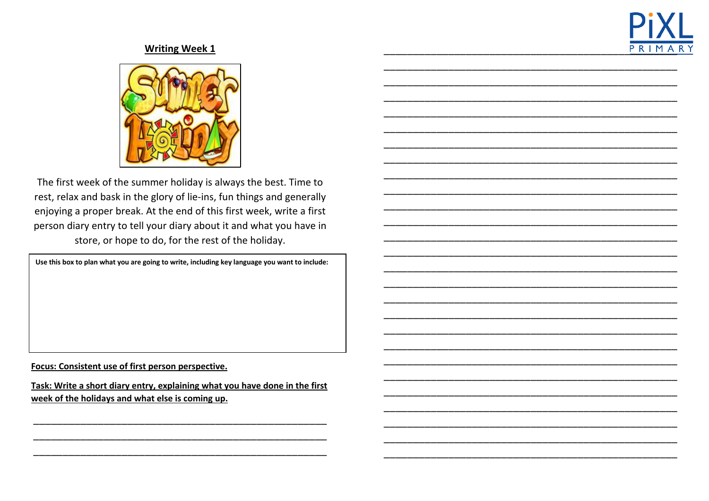



The first week of the summer holiday is always the best. Time to rest, relax and bask in the glory of lie-ins, fun things and generally enjoying a proper break. At the end of this first week, write a first person diary entry to tell your diary about it and what you have in store, or hope to do, for the rest of the holiday.

Use this box to plan what you are going to write, including key language you want to include:

Focus: Consistent use of first person perspective.

Task: Write a short diary entry, explaining what you have done in the first week of the holidays and what else is coming up.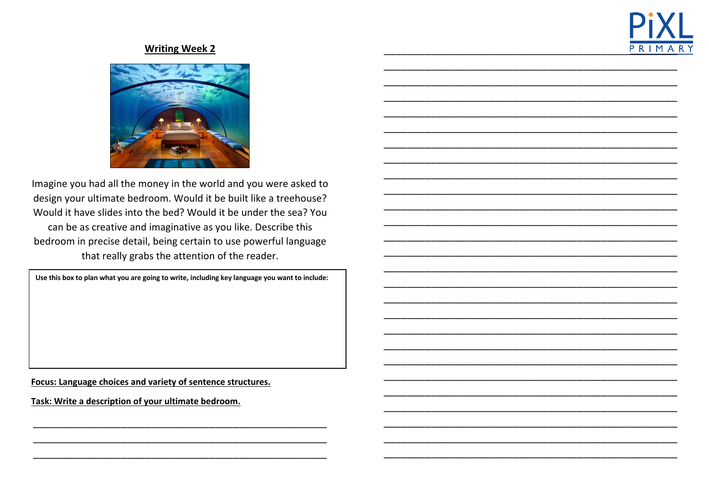



Imagine you had all the money in the world and you were asked to design your ultimate bedroom. Would it be built like a treehouse? Would it have slides into the bed? Would it be under the sea? You can be as creative and imaginative as you like. Describe this bedroom in precise detail, being certain to use powerful language that really grabs the attention of the reader.

Use this box to plan what you are going to write, including key language you want to include:

Focus: Language choices and variety of sentence structures.

Task: Write a description of your ultimate bedroom.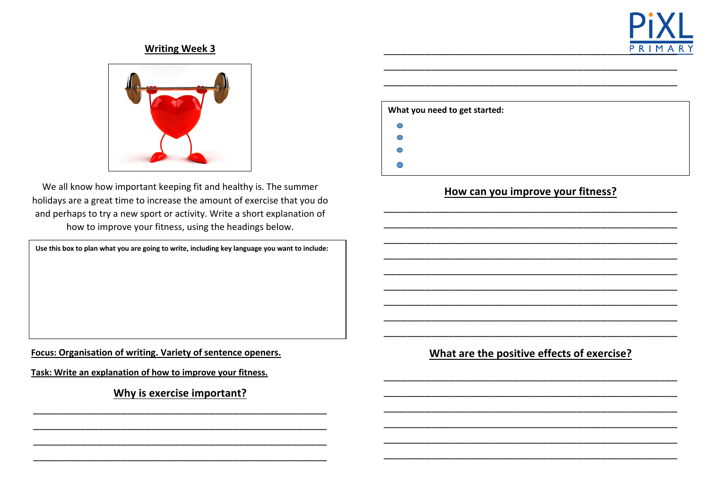



We all know how important keeping fit and healthy is. The summer holidays are a great time to increase the amount of exercise that you do and perhaps to try a new sport or activity. Write a short explanation of how to improve your fitness, using the headings below.

**Use this box to plan what you are going to write, including key language you want to include:**

**Focus: Organisation of writing. Variety of sentence openers.**

**Task: Write an explanation of how to improve your fitness.** 

**Why is exercise important?**  \_\_\_\_\_\_\_\_\_\_\_\_\_\_\_\_\_\_\_\_\_\_\_\_\_\_\_\_\_\_\_\_\_\_\_\_\_\_\_\_\_\_\_\_\_\_\_\_\_\_

\_\_\_\_\_\_\_\_\_\_\_\_\_\_\_\_\_\_\_\_\_\_\_\_\_\_\_\_\_\_\_\_\_\_\_\_\_\_\_\_\_\_\_\_\_\_\_\_\_\_ \_\_\_\_\_\_\_\_\_\_\_\_\_\_\_\_\_\_\_\_\_\_\_\_\_\_\_\_\_\_\_\_\_\_\_\_\_\_\_\_\_\_\_\_\_\_\_\_\_\_ \_\_\_\_\_\_\_\_\_\_\_\_\_\_\_\_\_\_\_\_\_\_\_\_\_\_\_\_\_\_\_\_\_\_\_\_\_\_\_\_\_\_\_\_\_\_\_\_\_\_

| What you need to get started: |  |  |  |  |
|-------------------------------|--|--|--|--|
| С                             |  |  |  |  |
| С                             |  |  |  |  |
| С                             |  |  |  |  |
|                               |  |  |  |  |

\_\_\_\_\_\_\_\_\_\_\_\_\_\_\_\_\_\_\_\_\_\_\_\_\_\_\_\_\_\_\_\_\_\_\_\_\_\_\_\_\_\_\_\_\_\_\_\_\_\_ \_\_\_\_\_\_\_\_\_\_\_\_\_\_\_\_\_\_\_\_\_\_\_\_\_\_\_\_\_\_\_\_\_\_\_\_\_\_\_\_\_\_\_\_\_\_\_\_\_\_

### **How can you improve your fitness?**

\_\_\_\_\_\_\_\_\_\_\_\_\_\_\_\_\_\_\_\_\_\_\_\_\_\_\_\_\_\_\_\_\_\_\_\_\_\_\_\_\_\_\_\_\_\_\_\_\_\_ \_\_\_\_\_\_\_\_\_\_\_\_\_\_\_\_\_\_\_\_\_\_\_\_\_\_\_\_\_\_\_\_\_\_\_\_\_\_\_\_\_\_\_\_\_\_\_\_\_\_ \_\_\_\_\_\_\_\_\_\_\_\_\_\_\_\_\_\_\_\_\_\_\_\_\_\_\_\_\_\_\_\_\_\_\_\_\_\_\_\_\_\_\_\_\_\_\_\_\_\_ \_\_\_\_\_\_\_\_\_\_\_\_\_\_\_\_\_\_\_\_\_\_\_\_\_\_\_\_\_\_\_\_\_\_\_\_\_\_\_\_\_\_\_\_\_\_\_\_\_\_ \_\_\_\_\_\_\_\_\_\_\_\_\_\_\_\_\_\_\_\_\_\_\_\_\_\_\_\_\_\_\_\_\_\_\_\_\_\_\_\_\_\_\_\_\_\_\_\_\_\_ \_\_\_\_\_\_\_\_\_\_\_\_\_\_\_\_\_\_\_\_\_\_\_\_\_\_\_\_\_\_\_\_\_\_\_\_\_\_\_\_\_\_\_\_\_\_\_\_\_\_ \_\_\_\_\_\_\_\_\_\_\_\_\_\_\_\_\_\_\_\_\_\_\_\_\_\_\_\_\_\_\_\_\_\_\_\_\_\_\_\_\_\_\_\_\_\_\_\_\_\_ \_\_\_\_\_\_\_\_\_\_\_\_\_\_\_\_\_\_\_\_\_\_\_\_\_\_\_\_\_\_\_\_\_\_\_\_\_\_\_\_\_\_\_\_\_\_\_\_\_\_ \_\_\_\_\_\_\_\_\_\_\_\_\_\_\_\_\_\_\_\_\_\_\_\_\_\_\_\_\_\_\_\_\_\_\_\_\_\_\_\_\_\_\_\_\_\_\_\_\_\_

**What are the positive effects of exercise?**

\_\_\_\_\_\_\_\_\_\_\_\_\_\_\_\_\_\_\_\_\_\_\_\_\_\_\_\_\_\_\_\_\_\_\_\_\_\_\_\_\_\_\_\_\_\_\_\_\_\_ \_\_\_\_\_\_\_\_\_\_\_\_\_\_\_\_\_\_\_\_\_\_\_\_\_\_\_\_\_\_\_\_\_\_\_\_\_\_\_\_\_\_\_\_\_\_\_\_\_\_ \_\_\_\_\_\_\_\_\_\_\_\_\_\_\_\_\_\_\_\_\_\_\_\_\_\_\_\_\_\_\_\_\_\_\_\_\_\_\_\_\_\_\_\_\_\_\_\_\_\_ \_\_\_\_\_\_\_\_\_\_\_\_\_\_\_\_\_\_\_\_\_\_\_\_\_\_\_\_\_\_\_\_\_\_\_\_\_\_\_\_\_\_\_\_\_\_\_\_\_\_ \_\_\_\_\_\_\_\_\_\_\_\_\_\_\_\_\_\_\_\_\_\_\_\_\_\_\_\_\_\_\_\_\_\_\_\_\_\_\_\_\_\_\_\_\_\_\_\_\_\_ \_\_\_\_\_\_\_\_\_\_\_\_\_\_\_\_\_\_\_\_\_\_\_\_\_\_\_\_\_\_\_\_\_\_\_\_\_\_\_\_\_\_\_\_\_\_\_\_\_\_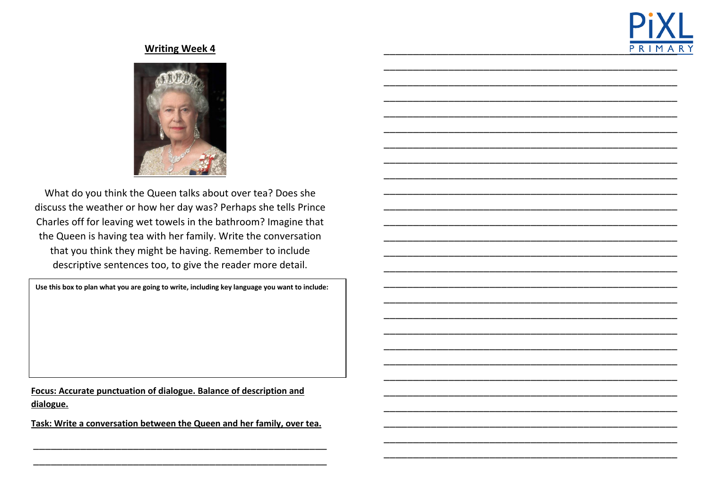



What do you think the Queen talks about over tea? Does she discuss the weather or how her day was? Perhaps she tells Prince Charles off for leaving wet towels in the bathroom? Imagine that the Queen is having tea with her family. Write the conversation that you think they might be having. Remember to include descriptive sentences too, to give the reader more detail.

Use this box to plan what you are going to write, including key language you want to include:

Focus: Accurate punctuation of dialogue. Balance of description and dialogue.

Task: Write a conversation between the Queen and her family, over tea.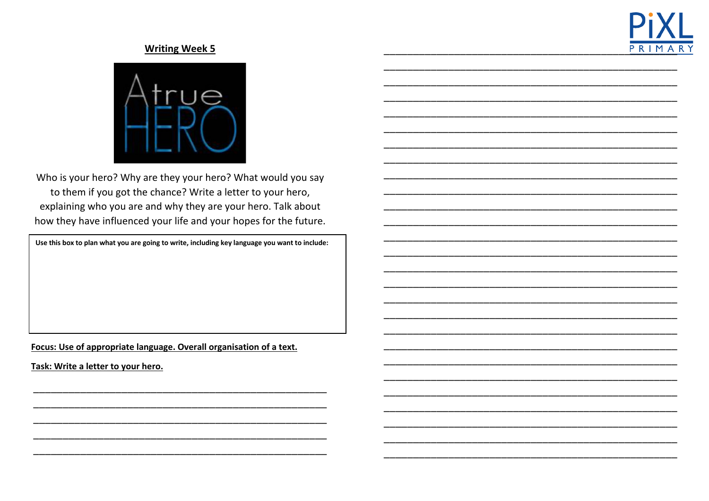



Who is your hero? Why are they your hero? What would you say to them if you got the chance? Write a letter to your hero, explaining who you are and why they are your hero. Talk about how they have influenced your life and your hopes for the future.

Use this box to plan what you are going to write, including key language you want to include:

Focus: Use of appropriate language. Overall organisation of a text.

Task: Write a letter to your hero.